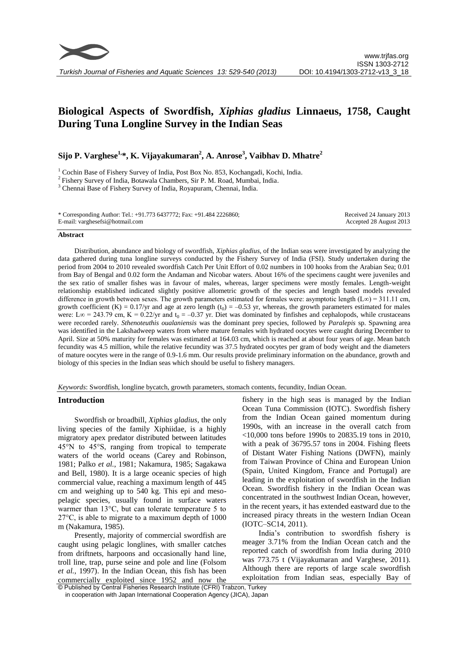

# **Biological Aspects of Swordfish,** *Xiphias gladius* **Linnaeus, 1758, Caught During Tuna Longline Survey in the Indian Seas**

## **Sijo P. Varghese1,\*, K. Vijayakumaran<sup>2</sup> , A. Anrose<sup>3</sup> , Vaibhav D. Mhatre<sup>2</sup>**

<sup>1</sup> Cochin Base of Fishery Survey of India, Post Box No. 853, Kochangadi, Kochi, India.

<sup>2</sup> Fishery Survey of India, Botawala Chambers, Sir P. M. Road, Mumbai, India.

<sup>3</sup> Chennai Base of Fishery Survey of India, Royapuram, Chennai, India.

| * Corresponding Author: Tel.: +91.773 6437772; Fax: +91.484 2226860; | Received 24 January 2013 |
|----------------------------------------------------------------------|--------------------------|
| E-mail: varghesefsi@hotmail.com                                      | Accepted 28 August 2013  |

#### **Abstract**

Distribution, abundance and biology of swordfish, *Xiphias gladius*, of the Indian seas were investigated by analyzing the data gathered during tuna longline surveys conducted by the Fishery Survey of India (FSI). Study undertaken during the period from 2004 to 2010 revealed swordfish Catch Per Unit Effort of 0.02 numbers in 100 hooks from the Arabian Sea; 0.01 from Bay of Bengal and 0.02 form the Andaman and Nicobar waters. About 16% of the specimens caught were juveniles and the sex ratio of smaller fishes was in favour of males, whereas, larger specimens were mostly females. Length-weight relationship established indicated slightly positive allometric growth of the species and length based models revealed difference in growth between sexes. The growth parameters estimated for females were: asymptotic length (L∞) = 311.11 cm, growth coefficient  $(K) = 0.17$ /yr and age at zero length  $(t_0) = -0.53$  yr, whereas, the growth parameters estimated for males were: L∞ = 243.79 cm, K = 0.22/yr and t<sub>0</sub> = –0.37 yr. Diet was dominated by finfishes and cephalopods, while crustaceans were recorded rarely. *Sthenoteuthis oualaniensis* was the dominant prey species, followed by *Paralepis* sp. Spawning area was identified in the Lakshadweep waters from where mature females with hydrated oocytes were caught during December to April. Size at 50% maturity for females was estimated at 164.03 cm, which is reached at about four years of age. Mean batch fecundity was 4.5 million, while the relative fecundity was 37.5 hydrated oocytes per gram of body weight and the diameters of mature oocytes were in the range of 0.9-1.6 mm. Our results provide preliminary information on the abundance, growth and biology of this species in the Indian seas which should be useful to fishery managers.

#### *Keywords*: Swordfish, longline bycatch, growth parameters, stomach contents, fecundity, Indian Ocean.

#### **Introduction**

Swordfish or broadbill, *Xiphias gladius*, the only living species of the family Xiphiidae, is a highly migratory apex predator distributed between latitudes 45°N to 45°S, ranging from tropical to temperate waters of the world oceans (Carey and Robinson, 1981; Palko *et al.*, 1981; Nakamura, 1985; Sagakawa and Bell, 1980). It is a large oceanic species of high commercial value, reaching a maximum length of 445 cm and weighing up to 540 kg. This epi and mesopelagic species, usually found in surface waters warmer than 13°C, but can tolerate temperature 5 to 27°C, is able to migrate to a maximum depth of 1000 m (Nakamura, 1985).

Presently, majority of commercial swordfish are caught using pelagic longlines, with smaller catches from driftnets, harpoons and occasionally hand line, troll line, trap, purse seine and pole and line (Folsom *et al.*, 1997). In the Indian Ocean, this fish has been commercially exploited since 1952 and now the

fishery in the high seas is managed by the Indian Ocean Tuna Commission (IOTC). Swordfish fishery from the Indian Ocean gained momentum during 1990s, with an increase in the overall catch from <10,000 tons before 1990s to 20835.19 tons in 2010, with a peak of 36795.57 tons in 2004. Fishing fleets of Distant Water Fishing Nations (DWFN), mainly from Taiwan Province of China and European Union (Spain, United Kingdom, France and Portugal) are leading in the exploitation of swordfish in the Indian Ocean. Swordfish fishery in the Indian Ocean was concentrated in the southwest Indian Ocean, however, in the recent years, it has extended eastward due to the increased piracy threats in the western Indian Ocean (IOTC–SC14, 2011).

India's contribution to swordfish fishery is meager 3.71% from the Indian Ocean catch and the reported catch of swordfish from India during 2010 was 773.75 t (Vijayakumaran and Varghese, 2011). Although there are reports of large scale swordfish exploitation from Indian seas, especially Bay of

© Published by Central Fisheries Research Institute (CFRI) Trabzon, Turkey in cooperation with Japan International Cooperation Agency (JICA), Japan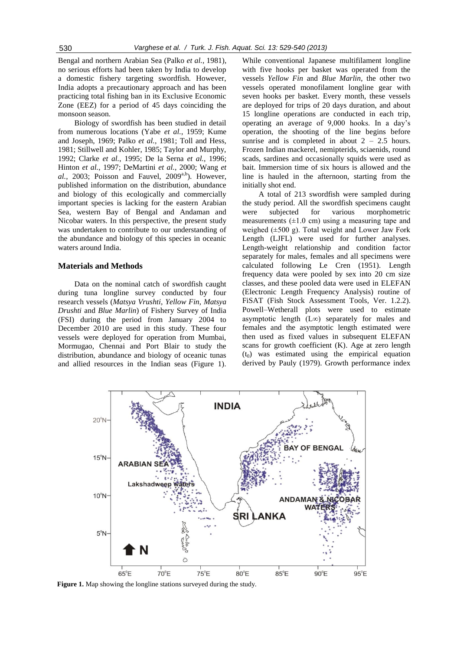Bengal and northern Arabian Sea (Palko *et al.*, 1981), no serious efforts had been taken by India to develop a domestic fishery targeting swordfish. However, India adopts a precautionary approach and has been practicing total fishing ban in its Exclusive Economic Zone (EEZ) for a period of 45 days coinciding the monsoon season.

Biology of swordfish has been studied in detail from numerous locations (Yabe *et al.*, 1959; Kume and Joseph, 1969; Palko *et al.*, 1981; Toll and Hess, 1981; Stillwell and Kohler, 1985; Taylor and Murphy, 1992; Clarke *et al.*, 1995; De la Serna *et al.*, 1996; Hinton *et al.*, 1997; DeMartini *et al.*, 2000; Wang *et*   $al., 2003$ ; Poisson and Fauvel,  $2009^{a,b}$ ). However, published information on the distribution, abundance and biology of this ecologically and commercially important species is lacking for the eastern Arabian Sea, western Bay of Bengal and Andaman and Nicobar waters. In this perspective, the present study was undertaken to contribute to our understanding of the abundance and biology of this species in oceanic waters around India.

## **Materials and Methods**

Data on the nominal catch of swordfish caught during tuna longline survey conducted by four research vessels (*Matsya Vrushti*, *Yellow Fin*, *Matsya Drushti* and *Blue Marlin*) of Fishery Survey of India (FSI) during the period from January 2004 to December 2010 are used in this study. These four vessels were deployed for operation from Mumbai, Mormugao, Chennai and Port Blair to study the distribution, abundance and biology of oceanic tunas and allied resources in the Indian seas (Figure 1).

While conventional Japanese multifilament longline with five hooks per basket was operated from the vessels *Yellow Fin* and *Blue Marlin*, the other two vessels operated monofilament longline gear with seven hooks per basket. Every month, these vessels are deployed for trips of 20 days duration, and about 15 longline operations are conducted in each trip, operating an average of 9,000 hooks. In a day's operation, the shooting of the line begins before sunrise and is completed in about  $2 - 2.5$  hours. Frozen Indian mackerel, nemipterids, sciaenids, round scads, sardines and occasionally squids were used as bait. Immersion time of six hours is allowed and the line is hauled in the afternoon, starting from the initially shot end.

A total of 213 swordfish were sampled during the study period. All the swordfish specimens caught were subjected for various morphometric measurements  $(\pm 1.0 \text{ cm})$  using a measuring tape and weighed  $(\pm 500 \text{ g})$ . Total weight and Lower Jaw Fork Length (LJFL) were used for further analyses. Length-weight relationship and condition factor separately for males, females and all specimens were calculated following Le Cren (1951). Length frequency data were pooled by sex into 20 cm size classes, and these pooled data were used in ELEFAN (Electronic Length Frequency Analysis) routine of FiSAT (Fish Stock Assessment Tools, Ver. 1.2.2). Powell–Wetherall plots were used to estimate asymptotic length (L∞) separately for males and females and the asymptotic length estimated were then used as fixed values in subsequent ELEFAN scans for growth coefficient (K). Age at zero length  $(t<sub>0</sub>)$  was estimated using the empirical equation derived by Pauly (1979). Growth performance index



**Figure 1.** Map showing the longline stations surveyed during the study.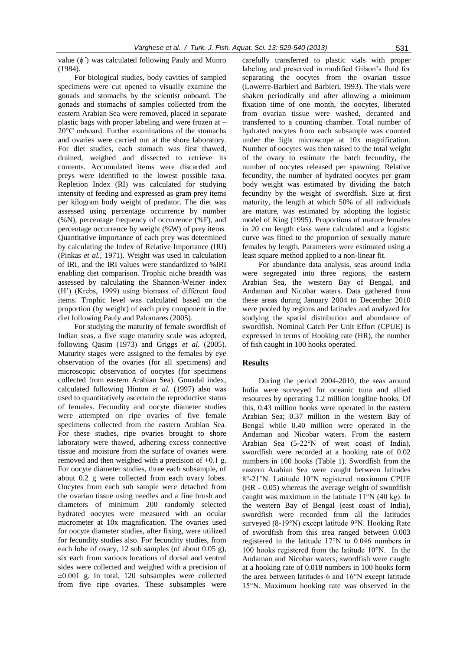value  $(\phi')$  was calculated following Pauly and Munro (1984).

For biological studies, body cavities of sampled specimens were cut opened to visually examine the gonads and stomachs by the scientist onboard. The gonads and stomachs of samples collected from the eastern Arabian Sea were removed, placed in separate plastic bags with proper labeling and were frozen at – 20°C onboard. Further examinations of the stomachs and ovaries were carried out at the shore laboratory. For diet studies, each stomach was first thawed, drained, weighed and dissected to retrieve its contents. Accumulated items were discarded and preys were identified to the lowest possible taxa. Repletion Index (RI) was calculated for studying intensity of feeding and expressed as gram prey items per kilogram body weight of predator. The diet was assessed using percentage occurrence by number (%N), percentage frequency of occurrence (%F), and percentage occurrence by weight (%W) of prey items. Quantitative importance of each prey was determined by calculating the Index of Relative Importance (IRI) (Pinkas *et al.*, 1971). Weight was used in calculation of IRI, and the IRI values were standardized to %IRI enabling diet comparison. Trophic niche breadth was assessed by calculating the Shannon-Weiner index (H') (Krebs, 1999) using biomass of different food items. Trophic level was calculated based on the proportion (by weight) of each prey component in the diet following Pauly and Palomares (2005).

For studying the maturity of female swordfish of Indian seas, a five stage maturity scale was adopted, following Qasim (1973) and Griggs *et al.* (2005). Maturity stages were assigned to the females by eye observation of the ovaries (for all specimens) and microscopic observation of oocytes (for specimens collected from eastern Arabian Sea). Gonadal index, calculated following Hinton *et al.* (1997) also was used to quantitatively ascertain the reproductive status of females. Fecundity and oocyte diameter studies were attempted on ripe ovaries of five female specimens collected from the eastern Arabian Sea. For these studies, ripe ovaries brought to shore laboratory were thawed, adhering excess connective tissue and moisture from the surface of ovaries were removed and then weighed with a precision of  $\pm 0.1$  g. For oocyte diameter studies, three each subsample, of about 0.2 g were collected from each ovary lobes. Oocytes from each sub sample were detached from the ovarian tissue using needles and a fine brush and diameters of minimum 200 randomly selected hydrated oocytes were measured with an ocular micrometer at 10x magnification. The ovaries used for oocyte diameter studies, after fixing, were utilized for fecundity studies also. For fecundity studies, from each lobe of ovary, 12 sub samples (of about 0.05 g), six each from various locations of dorsal and ventral sides were collected and weighed with a precision of ±0.001 g. In total, 120 subsamples were collected from five ripe ovaries. These subsamples were

carefully transferred to plastic vials with proper labeling and preserved in modified Gilson's fluid for separating the oocytes from the ovarian tissue (Lowerre-Barbieri and Barbieri, 1993). The vials were shaken periodically and after allowing a minimum fixation time of one month, the oocytes, liberated from ovarian tissue were washed, decanted and transferred to a counting chamber. Total number of hydrated oocytes from each subsample was counted under the light microscope at 10x magnification. Number of oocytes was then raised to the total weight of the ovary to estimate the batch fecundity, the number of oocytes released per spawning. Relative fecundity, the number of hydrated oocytes per gram body weight was estimated by dividing the batch fecundity by the weight of swordfish. Size at first maturity, the length at which 50% of all individuals are mature, was estimated by adopting the logistic model of King (1995). Proportions of mature females in 20 cm length class were calculated and a logistic curve was fitted to the proportion of sexually mature females by length. Parameters were estimated using a least square method applied to a non-linear fit.

For abundance data analysis, seas around India were segregated into three regions, the eastern Arabian Sea, the western Bay of Bengal, and Andaman and Nicobar waters. Data gathered from these areas during January 2004 to December 2010 were pooled by regions and latitudes and analyzed for studying the spatial distribution and abundance of swordfish. Nominal Catch Per Unit Effort (CPUE) is expressed in terms of Hooking rate (HR), the number of fish caught in 100 hooks operated.

## **Results**

During the period 2004-2010, the seas around India were surveyed for oceanic tuna and allied resources by operating 1.2 million longline hooks. Of this, 0.43 million hooks were operated in the eastern Arabian Sea; 0.37 million in the western Bay of Bengal while 0.40 million were operated in the Andaman and Nicobar waters. From the eastern Arabian Sea (5-22°N of west coast of India), swordfish were recorded at a hooking rate of 0.02 numbers in 100 hooks (Table 1). Swordfish from the eastern Arabian Sea were caught between latitudes 8°-21°N. Latitude 10°N registered maximum CPUE (HR - 0.05) whereas the average weight of swordfish caught was maximum in the latitude 11°N (40 kg). In the western Bay of Bengal (east coast of India), swordfish were recorded from all the latitudes surveyed (8-19°N) except latitude 9°N. Hooking Rate of swordfish from this area ranged between 0.003 registered in the latitude 17°N to 0.046 numbers in 100 hooks registered from the latitude 10°N. In the Andaman and Nicobar waters, swordfish were caught at a hooking rate of 0.018 numbers in 100 hooks form the area between latitudes 6 and 16°N except latitude 15°N. Maximum hooking rate was observed in the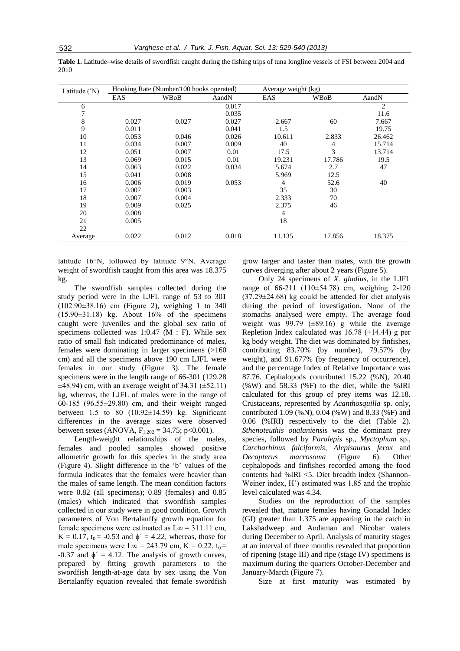| Table 1. Latitude–wise details of swordfish caught during the fishing trips of tuna longline vessels of FSI between 2004 and |  |  |  |
|------------------------------------------------------------------------------------------------------------------------------|--|--|--|
| 2010                                                                                                                         |  |  |  |

| Latitude (°N) | Hooking Rate (Number/100 hooks operated) |       |       |        | Average weight (kg) |        |
|---------------|------------------------------------------|-------|-------|--------|---------------------|--------|
|               | EAS                                      | WBoB  | AandN | EAS    | WBoB                | AandN  |
| 6             |                                          |       | 0.017 |        |                     | 2      |
| 7             |                                          |       | 0.035 |        |                     | 11.6   |
| 8             | 0.027                                    | 0.027 | 0.027 | 2.667  | 60                  | 7.667  |
| 9             | 0.011                                    |       | 0.041 | 1.5    |                     | 19.75  |
| 10            | 0.053                                    | 0.046 | 0.026 | 10.611 | 2.833               | 26.462 |
| 11            | 0.034                                    | 0.007 | 0.009 | 40     | 4                   | 15.714 |
| 12            | 0.051                                    | 0.007 | 0.01  | 17.5   | 3                   | 13.714 |
| 13            | 0.069                                    | 0.015 | 0.01  | 19.231 | 17.786              | 19.5   |
| 14            | 0.063                                    | 0.022 | 0.034 | 5.674  | 2.7                 | 47     |
| 15            | 0.041                                    | 0.008 |       | 5.969  | 12.5                |        |
| 16            | 0.006                                    | 0.019 | 0.053 | 4      | 52.6                | 40     |
| 17            | 0.007                                    | 0.003 |       | 35     | 30                  |        |
| 18            | 0.007                                    | 0.004 |       | 2.333  | 70                  |        |
| 19            | 0.009                                    | 0.025 |       | 2.375  | 46                  |        |
| 20            | 0.008                                    |       |       | 4      |                     |        |
| 21            | 0.005                                    |       |       | 18     |                     |        |
| 22            |                                          |       |       |        |                     |        |
| Average       | 0.022                                    | 0.012 | 0.018 | 11.135 | 17.856              | 18.375 |

latitude 16°N, followed by latitude 9°N. Average weight of swordfish caught from this area was 18.375 kg.

The swordfish samples collected during the study period were in the LJFL range of 53 to 301 (102.90±38.16) cm (Figure 2), weighing 1 to 340  $(15.90\pm31.18)$  kg. About  $16\%$  of the specimens caught were juveniles and the global sex ratio of specimens collected was 1:0.47 (M : F). While sex ratio of small fish indicated predominance of males, females were dominating in larger specimens (>160 cm) and all the specimens above 190 cm LJFL were females in our study (Figure 3). The female specimens were in the length range of 66-301 (129.28  $\pm$ 48.94) cm, with an average weight of 34.31 ( $\pm$ 52.11) kg, whereas, the LJFL of males were in the range of 60-185 (96.55±29.80) cm, and their weight ranged between 1.5 to 80  $(10.92 \pm 14.59)$  kg. Significant differences in the average sizes were observed between sexes (ANOVA,  $F_{1,202} = 34.75$ ; p<0.001).

Length-weight relationships of the males, females and pooled samples showed positive allometric growth for this species in the study area (Figure 4). Slight difference in the 'b' values of the formula indicates that the females were heavier than the males of same length. The mean condition factors were 0.82 (all specimens); 0.89 (females) and 0.85 (males) which indicated that swordfish samples collected in our study were in good condition. Growth parameters of Von Bertalanffy growth equation for female specimens were estimated as  $L\infty = 311.11$  cm, K = 0.17, t<sub>0</sub> = -0.53 and  $\phi' = 4.22$ , whereas, those for male specimens were L∞ = 243.79 cm, K = 0.22, t<sub>0</sub> =  $-0.37$  and  $\phi' = 4.12$ . The analysis of growth curves, prepared by fitting growth parameters to the swordfish length-at-age data by sex using the Von Bertalanffy equation revealed that female swordfish

grow larger and faster than males, with the growth curves diverging after about 2 years (Figure 5).

Only 24 specimens of *X. gladius*, in the LJFL range of 66-211 (110±54.78) cm, weighing 2-120 (37.29±24.68) kg could be attended for diet analysis during the period of investigation. None of the stomachs analysed were empty. The average food weight was 99.79 (±89.16) g while the average Repletion Index calculated was  $16.78$  ( $\pm$ 14.44) g per kg body weight. The diet was dominated by finfishes, contributing 83.70% (by number), 79.57% (by weight), and 91.677% (by frequency of occurrence), and the percentage Index of Relative Importance was 87.76. Cephalopods contributed 15.22 (%N), 20.40  $(\% W)$  and 58.33 (%F) to the diet, while the %IRI calculated for this group of prey items was 12.18. Crustaceans, represented by *Acanthosquilla* sp. only, contributed 1.09 (%N), 0.04 (%W) and 8.33 (%F) and 0.06 (%IRI) respectively to the diet (Table 2). *Sthenoteuthis oualaniensis* was the dominant prey species, followed by *Paralepis* sp., *Myctophum* sp., *Carcharhinus falciformis*, *Alepisaurus ferox* and *Decapterus macrosoma* (Figure 6). Other cephalopods and finfishes recorded among the food contents had %IRI <5. Diet breadth index (Shannon-Weiner index, H') estimated was 1.85 and the trophic level calculated was 4.34.

Studies on the reproduction of the samples revealed that, mature females having Gonadal Index (GI) greater than 1.375 are appearing in the catch in Lakshadweep and Andaman and Nicobar waters during December to April. Analysis of maturity stages at an interval of three months revealed that proportion of ripening (stage III) and ripe (stage IV) specimens is maximum during the quarters October-December and January-March (Figure 7).

Size at first maturity was estimated by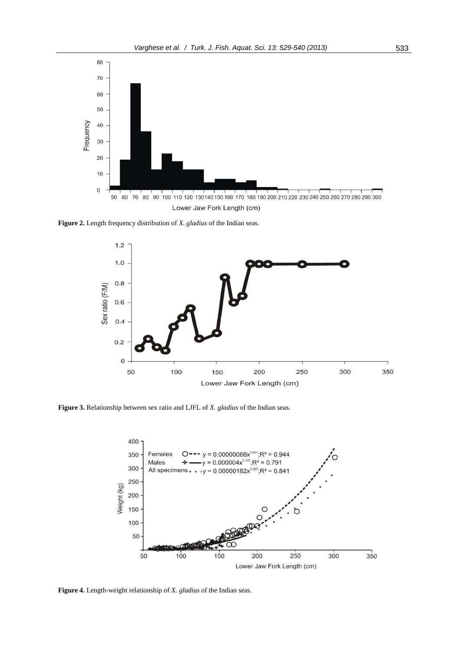

**Figure 2.** Length frequency distribution of *X. gladius* of the Indian seas.



**Figure 3.** Relationship between sex ratio and LJFL of *X. gladius* of the Indian seas.



**Figure 4.** Length-weight relationship of *X. gladius* of the Indian seas.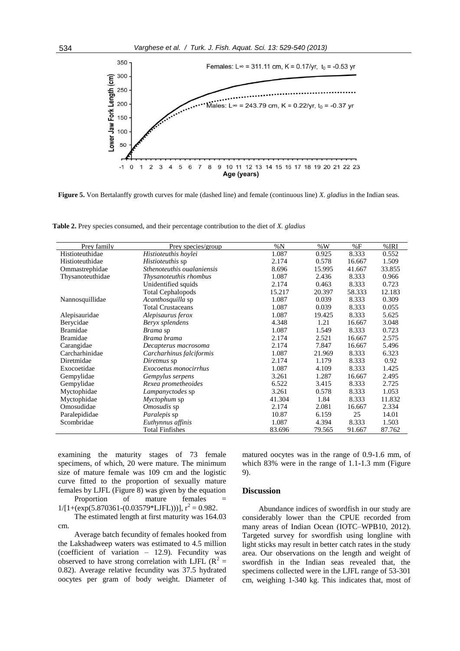

**Figure 5.** Von Bertalanffy growth curves for male (dashed line) and female (continuous line) *X. gladius* in the Indian seas.

**Table 2.** Prey species consumed, and their percentage contribution to the diet of *X. gladius*

| Prey family<br>Prey species/group |                            | $\%N$  | % $W$  | %F     | %IRI   |
|-----------------------------------|----------------------------|--------|--------|--------|--------|
| Histioteuthidae                   | Histioteuthis hoylei       |        | 0.925  | 8.333  | 0.552  |
| Histioteuthidae                   | <i>Histioteuthis</i> sp    | 2.174  | 0.578  | 16.667 | 1.509  |
| Ommastrephidae                    | Sthenoteuthis oualaniensis | 8.696  | 15.995 | 41.667 | 33.855 |
| Thysanoteuthidae                  | Thysanoteuthis rhombus     | 1.087  | 2.436  | 8.333  | 0.966  |
|                                   | Unidentified squids        | 2.174  | 0.463  | 8.333  | 0.723  |
|                                   | <b>Total Cephalopods</b>   | 15.217 | 20.397 | 58.333 | 12.183 |
| Nannosquillidae                   | Acanthosquilla sp          | 1.087  | 0.039  | 8.333  | 0.309  |
|                                   | <b>Total Crustaceans</b>   | 1.087  | 0.039  | 8.333  | 0.055  |
| Alepisauridae                     | Alepisaurus ferox          | 1.087  | 19.425 | 8.333  | 5.625  |
| Berycidae                         | Beryx splendens            | 4.348  | 1.21   | 16.667 | 3.048  |
| <b>Bramidae</b>                   | <i>Brama</i> sp            | 1.087  | 1.549  | 8.333  | 0.723  |
| <b>Bramidae</b>                   | Brama brama                | 2.174  | 2.521  | 16.667 | 2.575  |
| Carangidae                        | Decapterus macrosoma       | 2.174  | 7.847  | 16.667 | 5.496  |
| Carcharhinidae                    | Carcharhinus falciformis   | 1.087  | 21.969 | 8.333  | 6.323  |
| Diretmidae                        | Diretmus sp                | 2.174  | 1.179  | 8.333  | 0.92   |
| Exocoetidae                       | Exocoetus monocirrhus      | 1.087  | 4.109  | 8.333  | 1.425  |
| Gempylidae                        | Gempylus serpens           | 3.261  | 1.287  | 16.667 | 2.495  |
| Gempylidae                        | Rexea prometheoides        | 6.522  | 3.415  | 8.333  | 2.725  |
| Myctophidae                       | Lampanyctodes sp           | 3.261  | 0.578  | 8.333  | 1.053  |
| Myctophidae                       | Myctophum sp               | 41.304 | 1.84   | 8.333  | 11.832 |
| Omosudidae                        | Omosudis sp                | 2.174  | 2.081  | 16.667 | 2.334  |
| Paralepididae                     | Paralepis sp               | 10.87  | 6.159  | 25     | 14.01  |
| Scombridae                        | Euthynnus affinis          | 1.087  | 4.394  | 8.333  | 1.503  |
|                                   | <b>Total Finfishes</b>     | 83.696 | 79.565 | 91.667 | 87.762 |

examining the maturity stages of 73 female specimens, of which, 20 were mature. The minimum size of mature female was 109 cm and the logistic curve fitted to the proportion of sexually mature females by LJFL (Figure 8) was given by the equation

Proportion of mature females  $1/[1+(\exp(5.870361-(0.03579*LJFL))))]$ ,  $r^2 = 0.982$ .

The estimated length at first maturity was 164.03 cm.

Average batch fecundity of females hooked from the Lakshadweep waters was estimated to 4.5 million (coefficient of variation – 12.9). Fecundity was observed to have strong correlation with LJFL  $(R^2 =$ 0.82). Average relative fecundity was 37.5 hydrated oocytes per gram of body weight. Diameter of

matured oocytes was in the range of 0.9-1.6 mm, of which 83% were in the range of 1.1-1.3 mm (Figure 9).

## **Discussion**

Abundance indices of swordfish in our study are considerably lower than the CPUE recorded from many areas of Indian Ocean (IOTC–WPB10, 2012). Targeted survey for swordfish using longline with light sticks may result in better catch rates in the study area. Our observations on the length and weight of swordfish in the Indian seas revealed that, the specimens collected were in the LJFL range of 53-301 cm, weighing 1-340 kg. This indicates that, most of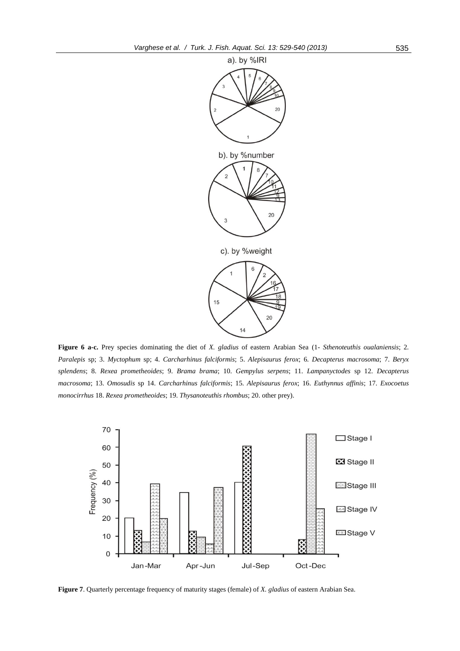

**Figure 6 a-c.** Prey species dominating the diet of *X. gladius* of eastern Arabian Sea (1- *Sthenoteuthis oualaniensis*; 2. *Paralepis* sp; 3. *Myctophum* sp; 4. *Carcharhinus falciformis*; 5. *Alepisaurus ferox*; 6. *Decapterus macrosoma*; 7. *Beryx splendens*; 8. *Rexea prometheoides*; 9. *Brama brama*; 10. *Gempylus serpens*; 11. *Lampanyctodes* sp 12. *Decapterus macrosoma*; 13. *Omosudis* sp 14. *Carcharhinus falciformis*; 15. *Alepisaurus ferox*; 16. *Euthynnus affinis*; 17. *Exocoetus monocirrhus* 18. *Rexea prometheoides*; 19. *Thysanoteuthis rhombus*; 20. other prey).



**Figure 7**. Quarterly percentage frequency of maturity stages (female) of *X. gladius* of eastern Arabian Sea.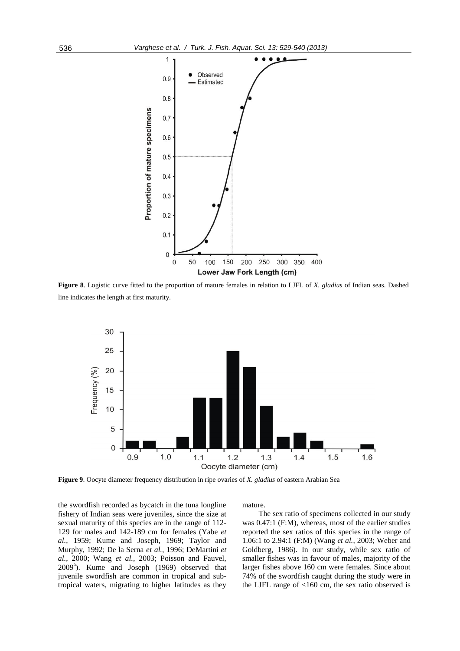

**Figure 8**. Logistic curve fitted to the proportion of mature females in relation to LJFL of *X. gladius* of Indian seas. Dashed line indicates the length at first maturity.



**Figure 9**. Oocyte diameter frequency distribution in ripe ovaries of *X. gladius* of eastern Arabian Sea

the swordfish recorded as bycatch in the tuna longline fishery of Indian seas were juveniles, since the size at sexual maturity of this species are in the range of 112- 129 for males and 142-189 cm for females (Yabe *et al.*, 1959; Kume and Joseph, 1969; Taylor and Murphy, 1992; De la Serna *et al.*, 1996; DeMartini *et al.*, 2000; Wang *et al.*, 2003; Poisson and Fauvel, 2009<sup>a</sup>). Kume and Joseph (1969) observed that juvenile swordfish are common in tropical and subtropical waters, migrating to higher latitudes as they

#### mature.

The sex ratio of specimens collected in our study was 0.47:1 (F:M), whereas, most of the earlier studies reported the sex ratios of this species in the range of 1.06:1 to 2.94:1 (F:M) (Wang *et al.*, 2003; Weber and Goldberg, 1986). In our study, while sex ratio of smaller fishes was in favour of males, majority of the larger fishes above 160 cm were females. Since about 74% of the swordfish caught during the study were in the LJFL range of <160 cm, the sex ratio observed is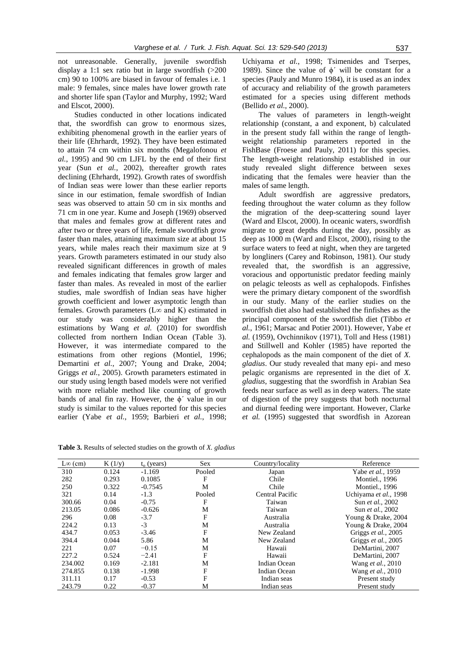not unreasonable. Generally, juvenile swordfish display a 1:1 sex ratio but in large swordfish (>200 cm) 90 to 100% are biased in favour of females i.e. 1 male: 9 females, since males have lower growth rate and shorter life span (Taylor and Murphy, 1992; Ward and Elscot, 2000).

Studies conducted in other locations indicated that, the swordfish can grow to enormous sizes, exhibiting phenomenal growth in the earlier years of their life (Ehrhardt, 1992). They have been estimated to attain 74 cm within six months (Megalofonou *et al.*, 1995) and 90 cm LJFL by the end of their first year (Sun *et al.*, 2002), thereafter growth rates declining (Ehrhardt, 1992). Growth rates of swordfish of Indian seas were lower than these earlier reports since in our estimation, female swordfish of Indian seas was observed to attain 50 cm in six months and 71 cm in one year. Kume and Joseph (1969) observed that males and females grow at different rates and after two or three years of life, female swordfish grow faster than males, attaining maximum size at about 15 years, while males reach their maximum size at 9 years. Growth parameters estimated in our study also revealed significant differences in growth of males and females indicating that females grow larger and faster than males. As revealed in most of the earlier studies, male swordfish of Indian seas have higher growth coefficient and lower asymptotic length than females. Growth parameters ( $L\infty$  and K) estimated in our study was considerably higher than the estimations by Wang *et al.* (2010) for swordfish collected from northern Indian Ocean (Table 3). However, it was intermediate compared to the estimations from other regions (Montiel, 1996; Demartini *et al.*, 2007; Young and Drake, 2004; Griggs *et al.*, 2005). Growth parameters estimated in our study using length based models were not verified with more reliable method like counting of growth bands of anal fin ray. However, the  $\phi'$  value in our study is similar to the values reported for this species earlier (Yabe *et al.*, 1959; Barbieri *et al.*, 1998;

**Table 3.** Results of selected studies on the growth of *X. gladius*

| Uchiyama et al., 1998; Tsimenides and Tserpes,           |
|----------------------------------------------------------|
| 1989). Since the value of $\phi'$ will be constant for a |
| species (Pauly and Munro 1984), it is used as an index   |
| of accuracy and reliability of the growth parameters     |
| estimated for a species using different methods          |

(Bellido *et al.*, 2000). The values of parameters in length-weight relationship (constant, a and exponent, b) calculated in the present study fall within the range of lengthweight relationship parameters reported in the FishBase (Froese and Pauly, 2011) for this species. The length-weight relationship established in our study revealed slight difference between sexes indicating that the females were heavier than the males of same length.

Adult swordfish are aggressive predators, feeding throughout the water column as they follow the migration of the deep-scattering sound layer (Ward and Elscot, 2000). In oceanic waters, swordfish migrate to great depths during the day, possibly as deep as 1000 m (Ward and Elscot, 2000), rising to the surface waters to feed at night, when they are targeted by longliners (Carey and Robinson, 1981). Our study revealed that, the swordfish is an aggressive, voracious and opportunistic predator feeding mainly on pelagic teleosts as well as cephalopods. Finfishes were the primary dietary component of the swordfish in our study. Many of the earlier studies on the swordfish diet also had established the finfishes as the principal component of the swordfish diet (Tibbo *et al.*, 1961; Marsac and Potier 2001). However, Yabe *et al.* (1959), Ovchinnikov (1971), Toll and Hess (1981) and Stillwell and Kohler (1985) have reported the cephalopods as the main component of the diet of *X. gladius*. Our study revealed that many epi- and meso pelagic organisms are represented in the diet of *X. gladius*, suggesting that the swordfish in Arabian Sea feeds near surface as well as in deep waters. The state of digestion of the prey suggests that both nocturnal and diurnal feeding were important. However, Clarke *et al.* (1995) suggested that swordfish in Azorean

| $L\infty$ (cm) | K(1/y) | $t_0$ (years) | <b>Sex</b> | Country/locality       | Reference                   |
|----------------|--------|---------------|------------|------------------------|-----------------------------|
| 310            | 0.124  | $-1.169$      | Pooled     | Japan                  | Yabe et al., 1959           |
| 282            | 0.293  | 0.1085        | F          | Chile                  | <b>Montiel., 1996</b>       |
| 250            | 0.322  | $-0.7545$     | M          | Chile                  | <b>Montiel., 1996</b>       |
| 321            | 0.14   | $-1.3$        | Pooled     | <b>Central Pacific</b> | Uchiyama et al., 1998       |
| 300.66         | 0.04   | $-0.75$       | F          | Taiwan                 | Sun et al., 2002            |
| 213.05         | 0.086  | $-0.626$      | М          | Taiwan                 | Sun <i>et al.</i> , 2002    |
| 296            | 0.08   | $-3.7$        | F          | Australia              | Young & Drake, 2004         |
| 224.2          | 0.13   | $-3$          | М          | Australia              | Young & Drake, 2004         |
| 434.7          | 0.053  | $-3.46$       | F          | New Zealand            | Griggs et al., 2005         |
| 394.4          | 0.044  | 5.86          | M          | New Zealand            | Griggs <i>et al.</i> , 2005 |
| 221            | 0.07   | $-0.15$       | М          | Hawaii                 | DeMartini, 2007             |
| 227.2          | 0.524  | $-2.41$       | F          | Hawaii                 | DeMartini, 2007             |
| 234.002        | 0.169  | $-2.181$      | М          | Indian Ocean           | Wang et al., 2010           |
| 274.855        | 0.138  | $-1.998$      | F          | <b>Indian Ocean</b>    | Wang et al., 2010           |
| 311.11         | 0.17   | $-0.53$       | F          | Indian seas            | Present study               |
| 243.79         | 0.22   | $-0.37$       | M          | Indian seas            | Present study               |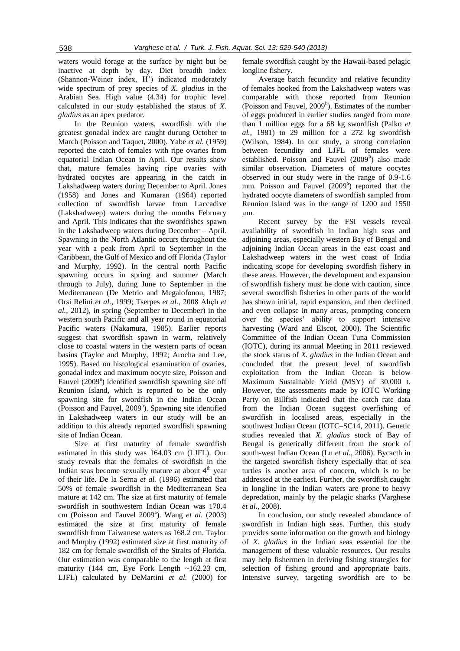waters would forage at the surface by night but be inactive at depth by day. Diet breadth index (Shannon-Weiner index, H') indicated moderately wide spectrum of prey species of *X. gladius* in the Arabian Sea. High value (4.34) for trophic level calculated in our study established the status of *X. gladius* as an apex predator.

In the Reunion waters, swordfish with the greatest gonadal index are caught durung October to March (Poisson and Taquet, 2000). Yabe *et al.* (1959) reported the catch of females with ripe ovaries from equatorial Indian Ocean in April. Our results show that, mature females having ripe ovaries with hydrated oocytes are appearing in the catch in Lakshadweep waters during December to April. Jones (1958) and Jones and Kumaran (1964) reported collection of swordfish larvae from Laccadive (Lakshadweep) waters during the months February and April. This indicates that the swordfishes spawn in the Lakshadweep waters during December – April. Spawning in the North Atlantic occurs throughout the year with a peak from April to September in the Caribbean, the Gulf of Mexico and off Florida (Taylor and Murphy, 1992). In the central north Pacific spawning occurs in spring and summer (March through to July), during June to September in the Mediterranean (De Metrio and Megalofonou, 1987; Orsi Relini *et al.*, 1999; Tserpes *et al.*, 2008 Alıçlı *et al.*, 2012), in spring (September to December) in the western south Pacific and all year round in equatorial Pacific waters (Nakamura, 1985). Earlier reports suggest that swordfish spawn in warm, relatively close to coastal waters in the western parts of ocean basins (Taylor and Murphy, 1992; Arocha and Lee, 1995). Based on histological examination of ovaries, gonadal index and maximum oocyte size, Poisson and Fauvel (2009<sup>a</sup>) identified swordfish spawning site off Reunion Island, which is reported to be the only spawning site for swordfish in the Indian Ocean (Poisson and Fauvel, 2009<sup>a</sup>). Spawning site identified in Lakshadweep waters in our study will be an addition to this already reported swordfish spawning site of Indian Ocean.

Size at first maturity of female swordfish estimated in this study was 164.03 cm (LJFL). Our study reveals that the females of swordfish in the Indian seas become sexually mature at about  $4<sup>th</sup>$  year of their life. De la Serna *et al.* (1996) estimated that 50% of female swordfish in the Mediterranean Sea mature at 142 cm. The size at first maturity of female swordfish in southwestern Indian Ocean was 170.4 cm (Poisson and Fauvel  $2009^{\circ}$ ). Wang *et al.* (2003) estimated the size at first maturity of female swordfish from Taiwanese waters as 168.2 cm. Taylor and Murphy (1992) estimated size at first maturity of 182 cm for female swordfish of the Straits of Florida. Our estimation was comparable to the length at first maturity (144 cm, Eye Fork Length ~162.23 cm, LJFL) calculated by DeMartini *et al.* (2000) for

female swordfish caught by the Hawaii-based pelagic longline fishery.

Average batch fecundity and relative fecundity of females hooked from the Lakshadweep waters was comparable with those reported from Reunion (Poisson and Fauvel,  $2009<sup>b</sup>$ ). Estimates of the number of eggs produced in earlier studies ranged from more than 1 million eggs for a 68 kg swordfish (Palko *et al.*, 1981) to 29 million for a 272 kg swordfish (Wilson, 1984). In our study, a strong correlation between fecundity and LJFL of females were established. Poisson and Fauvel (2009<sup>b</sup>) also made similar observation. Diameters of mature oocytes observed in our study were in the range of 0.9-1.6 mm. Poisson and Fauvel (2009<sup>a</sup>) reported that the hydrated oocyte diameters of swordfish sampled from Reunion Island was in the range of 1200 and 1550 μm.

Recent survey by the FSI vessels reveal availability of swordfish in Indian high seas and adjoining areas, especially western Bay of Bengal and adjoining Indian Ocean areas in the east coast and Lakshadweep waters in the west coast of India indicating scope for developing swordfish fishery in these areas. However, the development and expansion of swordfish fishery must be done with caution, since several swordfish fisheries in other parts of the world has shown initial, rapid expansion, and then declined and even collapse in many areas, prompting concern over the species' ability to support intensive harvesting (Ward and Elscot, 2000). The Scientific Committee of the Indian Ocean Tuna Commission (IOTC), during its annual Meeting in 2011 reviewed the stock status of *X. gladius* in the Indian Ocean and concluded that the present level of swordfish exploitation from the Indian Ocean is below Maximum Sustainable Yield (MSY) of 30,000 t. However, the assessments made by IOTC Working Party on Billfish indicated that the catch rate data from the Indian Ocean suggest overfishing of swordfish in localised areas, especially in the southwest Indian Ocean (IOTC–SC14, 2011). Genetic studies revealed that *X. gladius* stock of Bay of Bengal is genetically different from the stock of south-west Indian Ocean (Lu *et al.*, 2006). Bycacth in the targeted swordfish fishery especially that of sea turtles is another area of concern, which is to be addressed at the earliest. Further, the swordfish caught in longline in the Indian waters are prone to heavy depredation, mainly by the pelagic sharks (Varghese *et al.*, 2008).

In conclusion, our study revealed abundance of swordfish in Indian high seas. Further, this study provides some information on the growth and biology of *X. gladius* in the Indian seas essential for the management of these valuable resources. Our results may help fishermen in deriving fishing strategies for selection of fishing ground and appropriate baits. Intensive survey, targeting swordfish are to be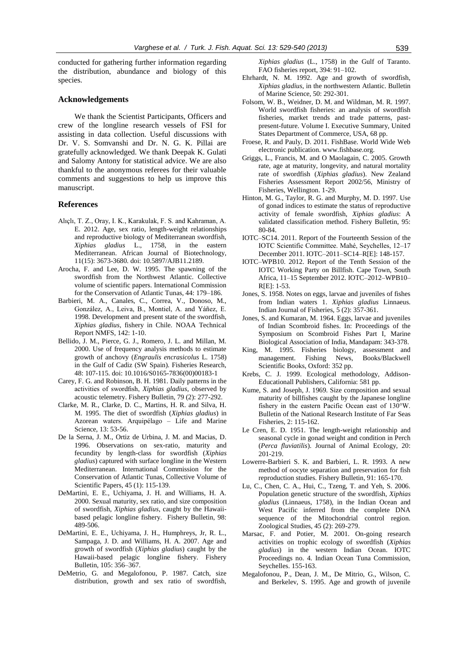conducted for gathering further information regarding the distribution, abundance and biology of this species.

#### **Acknowledgements**

We thank the Scientist Participants, Officers and crew of the longline research vessels of FSI for assisting in data collection. Useful discussions with Dr. V. S. Somvanshi and Dr. N. G. K. Pillai are gratefully acknowledged. We thank Deepak K. Gulati and Salomy Antony for statistical advice. We are also thankful to the anonymous referees for their valuable comments and suggestions to help us improve this manuscript.

#### **References**

- Alıçlı, T. Z., Oray, I. K., Karakulak, F. S. and Kahraman, A. E. 2012. Age, sex ratio, length-weight relationships and reproductive biology of Mediterranean swordfish, *Xiphias gladius* L., 1758, in the eastern Mediterranean. African Journal of Biotechnology, 11(15): 3673-3680. doi: 10.5897/AJB11.2189.
- Arocha, F. and Lee, D. W. 1995. The spawning of the swordfish from the Northwest Atlantic. Collective volume of scientific papers. International Commission for the Conservation of Atlantic Tunas, 44: 179–186.
- Barbieri, M. A., Canales, C., Correa, V., Donoso, M., González, A., Leiva, B., Montiel, A. and Yáñez, E. 1998. Development and present state of the swordfish, *Xiphias gladius*, fishery in Chile. NOAA Technical Report NMFS, 142: 1-10.
- Bellido, J. M., Pierce, G. J., Romero, J. L. and Millan, M. 2000. Use of frequency analysis methods to estimate growth of anchovy (*Engraulis encrasicolus* L. 1758) in the Gulf of Cadiz (SW Spain). Fisheries Research, 48: 107-115. doi: 10.1016/S0165-7836(00)00183-1
- Carey, F. G. and Robinson, B. H. 1981. Daily patterns in the activities of swordfish, *Xiphias gladius*, observed by acoustic telemetry. Fishery Bulletin, 79 (2): 277-292.
- Clarke, M. R., Clarke, D. C., Martins, H. R. and Silva, H. M. 1995. The diet of swordfish (*Xiphias gladius*) in Azorean waters. Arquipélago – Life and Marine Science, 13: 53-56.
- De la Serna, J. M., Ortiz de Urbina, J. M. and Macias, D. 1996. Observations on sex-ratio, maturity and fecundity by length-class for swordfish (*Xiphias gladius*) captured with surface longline in the Western Mediterranean. International Commission for the Conservation of Atlantic Tunas, Collective Volume of Scientific Papers, 45 (1): 115-139.
- DeMartini, E. E., Uchiyama, J. H. and Williams, H. A. 2000. Sexual maturity, sex ratio, and size composition of swordfish, *Xiphias gladius*, caught by the Hawaiibased pelagic longline fishery. Fishery Bulletin, 98: 489-506.
- DeMartini, E. E., Uchiyama, J. H., Humphreys, Jr, R. L., Sampaga, J. D. and Williams, H. A. 2007. Age and growth of swordfish (*Xiphias gladius*) caught by the Hawaii-based pelagic longline fishery. Fishery Bulletin, 105: 356–367.
- DeMetrio, G. and Megalofonou, P. 1987. Catch, size distribution, growth and sex ratio of swordfish,

*Xiphias gladius* (L., 1758) in the Gulf of Taranto. FAO fisheries report, 394: 91–102.

- Ehrhardt, N. M. 1992. Age and growth of swordfish, *Xiphias gladius*, in the northwestern Atlantic. Bulletin of Marine Science, 50: 292-301.
- Folsom, W. B., Weidner, D. M. and Wildman, M. R. 1997. World swordfish fisheries: an analysis of swordfish fisheries, market trends and trade patterns, pastpresent-future. Volume I. Executive Summary, United States Department of Commerce, USA, 68 pp.
- Froese, R. and Pauly, D. 2011. FishBase. World Wide Web electronic publication. www.fishbase.org.
- Griggs, L., Francis, M. and O Maolagain, C. 2005. Growth rate, age at maturity, longevity, and natural mortality rate of swordfish (*Xiphias gladius*). New Zealand Fisheries Assessment Report 2002/56, Ministry of Fisheries, Wellington. 1-29.
- Hinton, M. G., Taylor, R. G. and Murphy, M. D. 1997. Use of gonad indices to estimate the status of reproductive activity of female swordfish, *Xiphias gladius*: A validated classification method. Fishery Bulletin, 95: 80-84.
- IOTC–SC14. 2011. Report of the Fourteenth Session of the IOTC Scientific Committee. Mahé, Seychelles, 12–17 December 2011. IOTC–2011–SC14–R[E]: 148-157.
- IOTC–WPB10. 2012. Report of the Tenth Session of the IOTC Working Party on Billfish. Cape Town, South Africa, 11–15 September 2012. IOTC–2012–WPB10– R[E]: 1-53.
- Jones, S. 1958. Notes on eggs, larvae and juveniles of fishes from Indian waters 1. *Xiphias gladius* Linnaeus. Indian Journal of Fisheries, 5 (2): 357-361.
- Jones, S. and Kumaran, M. 1964. Eggs, larvae and juveniles of Indian Scombroid fishes. In: Proceedings of the Symposium on Scombroid Fishes Part I, Marine Biological Association of India, Mandapam: 343-378.
- King, M. 1995. Fisheries biology, assessment and management. Fishing News, Books/Blackwell Scientific Books, Oxford: 352 pp.
- Krebs, C. J. 1999. Ecological methodology, Addison-Educationall Publishers, California: 581 pp.
- Kume, S. and Joseph, J. 1969. Size composition and sexual maturity of billfishes caught by the Japanese longline fishery in the eastern Pacific Ocean east of 130°W. Bulletin of the National Research Institute of Far Seas Fisheries, 2: 115-162.
- Le Cren, E. D. 1951. The length-weight relationship and seasonal cycle in gonad weight and condition in Perch (*Perca fluviatilis*). Journal of Animal Ecology, 20: 201-219.
- Lowerre-Barbieri S. K. and Barbieri, L. R. 1993. A new method of oocyte separation and preservation for fish reproduction studies. Fishery Bulletin, 91: 165-170.
- Lu, C., Chen, C. A., Hui, C., Tzeng, T. and Yeh, S. 2006. Population genetic structure of the swordfish, *Xiphias gladius* (Linnaeus, 1758), in the Indian Ocean and West Pacific inferred from the complete DNA sequence of the Mitochondrial control region. Zoological Studies, 45 (2): 269-279.
- Marsac, F. and Potier, M. 2001. On-going research activities on trophic ecology of swordfish (*Xiphias gladius*) in the western Indian Ocean. IOTC Proceedings no. 4. Indian Ocean Tuna Commission, Seychelles. 155-163.
- Megalofonou, P., Dean, J. M., De Mitrio, G., Wilson, C. and Berkelev, S. 1995. Age and growth of juvenile